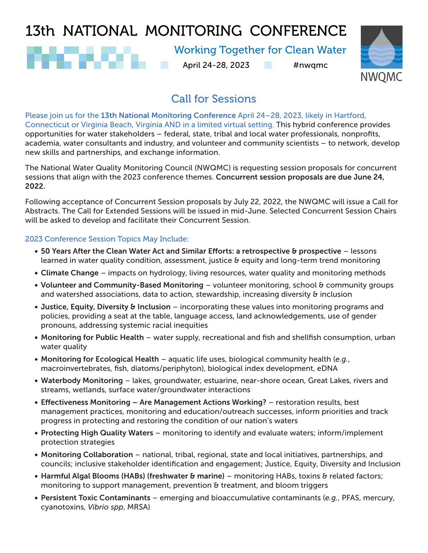# 13th NATIONAL MONITORING CONFERENCE

## Working Together for Clean Water

April 24-28, 2023 #nwqmc



## Call for Sessions

Please join us for the 13th National Monitoring Conference April 24–28, 2023, likely in Hartford, Connecticut or Virginia Beach, Virginia AND in a limited virtual setting. This hybrid conference provides opportunities for water stakeholders – federal, state, tribal and local water professionals, nonprofits, academia, water consultants and industry, and volunteer and community scientists – to network, develop new skills and partnerships, and exchange information.

The National Water Quality Monitoring Council (NWQMC) is requesting session proposals for concurrent sessions that align with the 2023 conference themes. Concurrent session proposals are due June 24, 2022.

Following acceptance of Concurrent Session proposals by July 22, 2022, the NWQMC will issue a Call for Abstracts. The Call for Extended Sessions will be issued in mid-June. Selected Concurrent Session Chairs will be asked to develop and facilitate their Concurrent Session.

### 2023 Conference Session Topics May Include:

- 50 Years After the Clean Water Act and Similar Efforts: a retrospective & prospective lessons learned in water quality condition, assessment, justice & equity and long-term trend monitoring
- Climate Change impacts on hydrology, living resources, water quality and monitoring methods
- Volunteer and Community-Based Monitoring volunteer monitoring, school & community groups and watershed associations, data to action, stewardship, increasing diversity & inclusion
- Justice, Equity, Diversity & Inclusion incorporating these values into monitoring programs and policies, providing a seat at the table, language access, land acknowledgements, use of gender pronouns, addressing systemic racial inequities
- Monitoring for Public Health water supply, recreational and fish and shellfish consumption, urban water quality
- Monitoring for Ecological Health aquatic life uses, biological community health (*e.g.*, macroinvertebrates, fish, diatoms/periphyton), biological index development, eDNA
- Waterbody Monitoring lakes, groundwater, estuarine, near-shore ocean, Great Lakes, rivers and streams, wetlands, surface water/groundwater interactions
- Effectiveness Monitoring Are Management Actions Working? restoration results, best management practices, monitoring and education/outreach successes, inform priorities and track progress in protecting and restoring the condition of our nation's waters
- Protecting High Quality Waters monitoring to identify and evaluate waters; inform/implement protection strategies
- Monitoring Collaboration national, tribal, regional, state and local initiatives, partnerships, and councils; inclusive stakeholder identification and engagement; Justice, Equity, Diversity and Inclusion
- Harmful Algal Blooms (HABs) (freshwater & marine) monitoring HABs, toxins & related factors; monitoring to support management, prevention & treatment, and bloom triggers
- Persistent Toxic Contaminants emerging and bioaccumulative contaminants (*e.g.*, PFAS, mercury, cyanotoxins, *Vibrio spp*, MRSA)